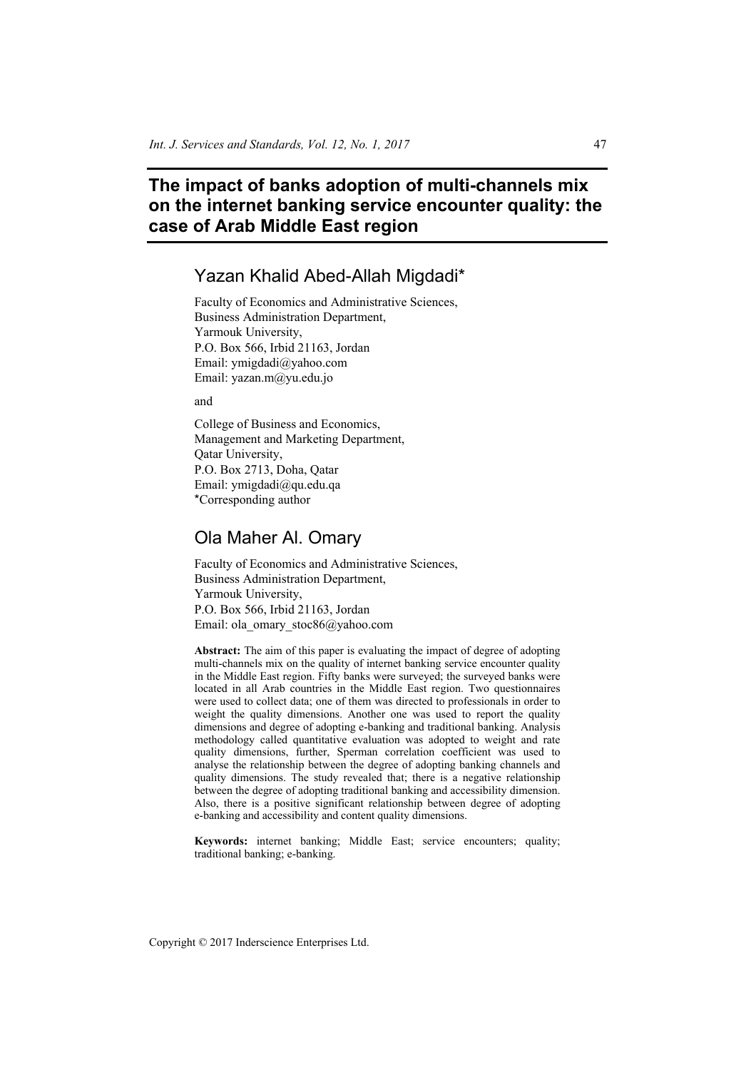# **The impact of banks adoption of multi-channels mix on the internet banking service encounter quality: the case of Arab Middle East region**

# Yazan Khalid Abed-Allah Migdadi\*

Faculty of Economics and Administrative Sciences, Business Administration Department, Yarmouk University, P.O. Box 566, Irbid 21163, Jordan Email: ymigdadi@yahoo.com Email: yazan.m@yu.edu.jo

and

College of Business and Economics, Management and Marketing Department, Qatar University, P.O. Box 2713, Doha, Qatar Email: ymigdadi@qu.edu.qa \*Corresponding author

# Ola Maher Al. Omary

Faculty of Economics and Administrative Sciences, Business Administration Department, Yarmouk University, P.O. Box 566, Irbid 21163, Jordan Email: ola\_omary\_stoc86@yahoo.com

**Abstract:** The aim of this paper is evaluating the impact of degree of adopting multi-channels mix on the quality of internet banking service encounter quality in the Middle East region. Fifty banks were surveyed; the surveyed banks were located in all Arab countries in the Middle East region. Two questionnaires were used to collect data; one of them was directed to professionals in order to weight the quality dimensions. Another one was used to report the quality dimensions and degree of adopting e-banking and traditional banking. Analysis methodology called quantitative evaluation was adopted to weight and rate quality dimensions, further, Sperman correlation coefficient was used to analyse the relationship between the degree of adopting banking channels and quality dimensions. The study revealed that; there is a negative relationship between the degree of adopting traditional banking and accessibility dimension. Also, there is a positive significant relationship between degree of adopting e-banking and accessibility and content quality dimensions.

**Keywords:** internet banking; Middle East; service encounters; quality; traditional banking; e-banking.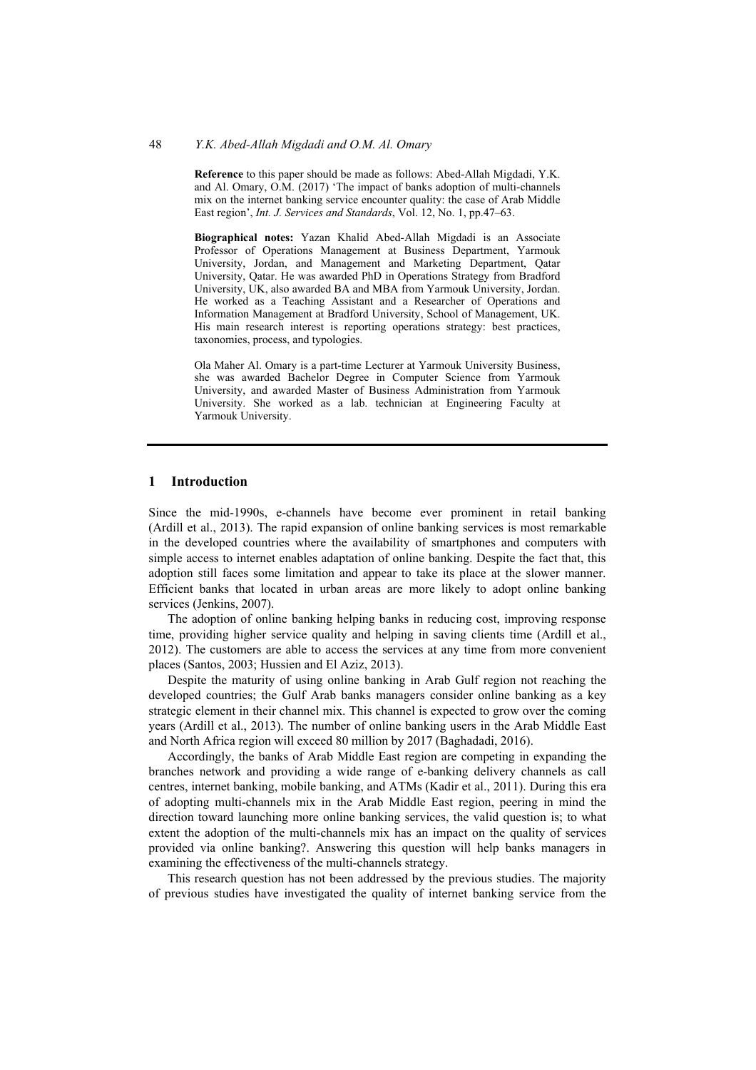**Reference** to this paper should be made as follows: Abed-Allah Migdadi, Y.K. and Al. Omary, O.M. (2017) 'The impact of banks adoption of multi-channels mix on the internet banking service encounter quality: the case of Arab Middle East region', *Int. J. Services and Standards*, Vol. 12, No. 1, pp.47–63.

**Biographical notes:** Yazan Khalid Abed-Allah Migdadi is an Associate Professor of Operations Management at Business Department, Yarmouk University, Jordan, and Management and Marketing Department, Qatar University, Qatar. He was awarded PhD in Operations Strategy from Bradford University, UK, also awarded BA and MBA from Yarmouk University, Jordan. He worked as a Teaching Assistant and a Researcher of Operations and Information Management at Bradford University, School of Management, UK. His main research interest is reporting operations strategy: best practices, taxonomies, process, and typologies.

Ola Maher Al. Omary is a part-time Lecturer at Yarmouk University Business, she was awarded Bachelor Degree in Computer Science from Yarmouk University, and awarded Master of Business Administration from Yarmouk University. She worked as a lab. technician at Engineering Faculty at Yarmouk University.

# **1 Introduction**

Since the mid-1990s, e-channels have become ever prominent in retail banking (Ardill et al., 2013). The rapid expansion of online banking services is most remarkable in the developed countries where the availability of smartphones and computers with simple access to internet enables adaptation of online banking. Despite the fact that, this adoption still faces some limitation and appear to take its place at the slower manner. Efficient banks that located in urban areas are more likely to adopt online banking services (Jenkins, 2007).

The adoption of online banking helping banks in reducing cost, improving response time, providing higher service quality and helping in saving clients time (Ardill et al., 2012). The customers are able to access the services at any time from more convenient places (Santos, 2003; Hussien and El Aziz, 2013).

Despite the maturity of using online banking in Arab Gulf region not reaching the developed countries; the Gulf Arab banks managers consider online banking as a key strategic element in their channel mix. This channel is expected to grow over the coming years (Ardill et al., 2013). The number of online banking users in the Arab Middle East and North Africa region will exceed 80 million by 2017 (Baghadadi, 2016).

Accordingly, the banks of Arab Middle East region are competing in expanding the branches network and providing a wide range of e-banking delivery channels as call centres, internet banking, mobile banking, and ATMs (Kadir et al., 2011). During this era of adopting multi-channels mix in the Arab Middle East region, peering in mind the direction toward launching more online banking services, the valid question is; to what extent the adoption of the multi-channels mix has an impact on the quality of services provided via online banking?. Answering this question will help banks managers in examining the effectiveness of the multi-channels strategy.

This research question has not been addressed by the previous studies. The majority of previous studies have investigated the quality of internet banking service from the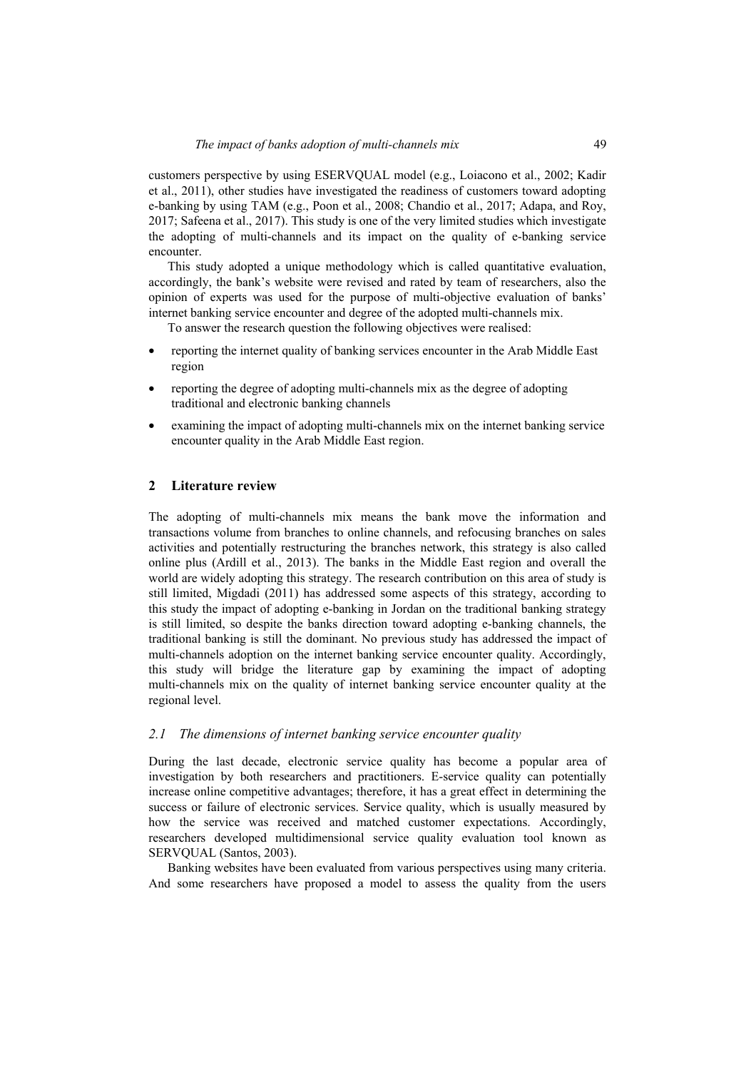customers perspective by using ESERVQUAL model (e.g., Loiacono et al., 2002; Kadir et al., 2011), other studies have investigated the readiness of customers toward adopting e-banking by using TAM (e.g., Poon et al., 2008; Chandio et al., 2017; Adapa, and Roy, 2017; Safeena et al., 2017). This study is one of the very limited studies which investigate the adopting of multi-channels and its impact on the quality of e-banking service encounter.

This study adopted a unique methodology which is called quantitative evaluation, accordingly, the bank's website were revised and rated by team of researchers, also the opinion of experts was used for the purpose of multi-objective evaluation of banks' internet banking service encounter and degree of the adopted multi-channels mix.

To answer the research question the following objectives were realised:

- reporting the internet quality of banking services encounter in the Arab Middle East region
- reporting the degree of adopting multi-channels mix as the degree of adopting traditional and electronic banking channels
- examining the impact of adopting multi-channels mix on the internet banking service encounter quality in the Arab Middle East region.

# **2 Literature review**

The adopting of multi-channels mix means the bank move the information and transactions volume from branches to online channels, and refocusing branches on sales activities and potentially restructuring the branches network, this strategy is also called online plus (Ardill et al., 2013). The banks in the Middle East region and overall the world are widely adopting this strategy. The research contribution on this area of study is still limited, Migdadi (2011) has addressed some aspects of this strategy, according to this study the impact of adopting e-banking in Jordan on the traditional banking strategy is still limited, so despite the banks direction toward adopting e-banking channels, the traditional banking is still the dominant. No previous study has addressed the impact of multi-channels adoption on the internet banking service encounter quality. Accordingly, this study will bridge the literature gap by examining the impact of adopting multi-channels mix on the quality of internet banking service encounter quality at the regional level.

# *2.1 The dimensions of internet banking service encounter quality*

During the last decade, electronic service quality has become a popular area of investigation by both researchers and practitioners. E-service quality can potentially increase online competitive advantages; therefore, it has a great effect in determining the success or failure of electronic services. Service quality, which is usually measured by how the service was received and matched customer expectations. Accordingly, researchers developed multidimensional service quality evaluation tool known as SERVQUAL (Santos, 2003).

Banking websites have been evaluated from various perspectives using many criteria. And some researchers have proposed a model to assess the quality from the users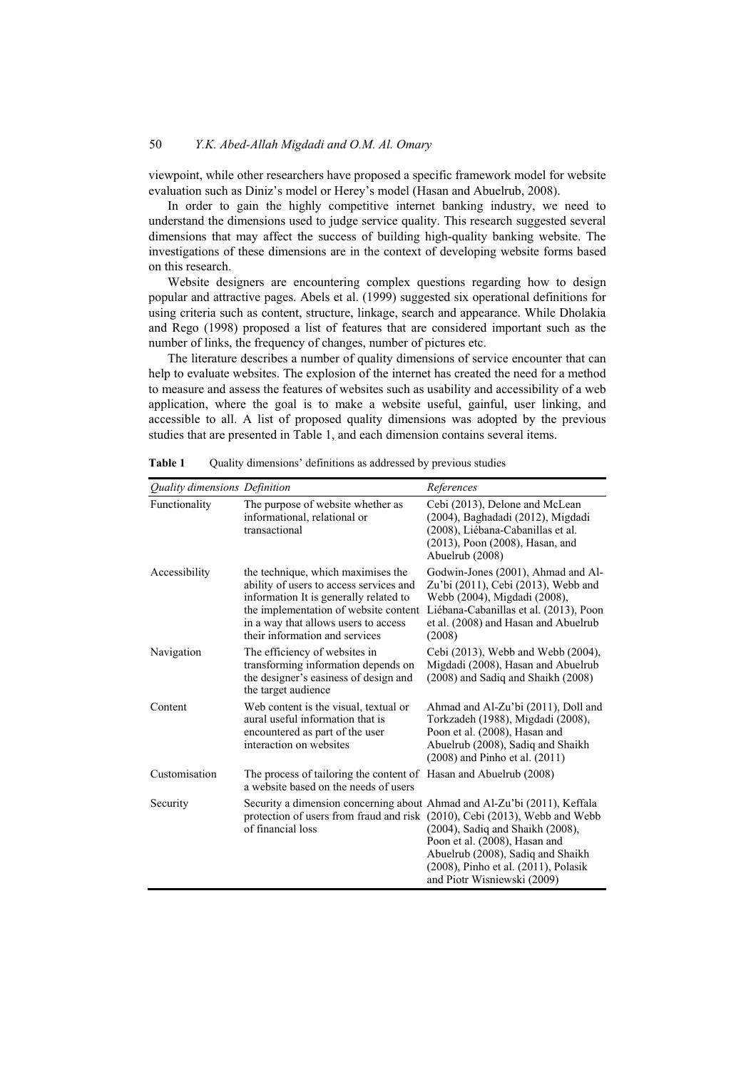viewpoint, while other researchers have proposed a specific framework model for website evaluation such as Diniz's model or Herey's model (Hasan and Abuelrub, 2008).

In order to gain the highly competitive internet banking industry, we need to understand the dimensions used to judge service quality. This research suggested several dimensions that may affect the success of building high-quality banking website. The investigations of these dimensions are in the context of developing website forms based on this research.

Website designers are encountering complex questions regarding how to design popular and attractive pages. Abels et al. (1999) suggested six operational definitions for using criteria such as content, structure, linkage, search and appearance. While Dholakia and Rego (1998) proposed a list of features that are considered important such as the number of links, the frequency of changes, number of pictures etc.

The literature describes a number of quality dimensions of service encounter that can help to evaluate websites. The explosion of the internet has created the need for a method to measure and assess the features of websites such as usability and accessibility of a web application, where the goal is to make a website useful, gainful, user linking, and accessible to all. A list of proposed quality dimensions was adopted by the previous studies that are presented in Table 1, and each dimension contains several items.

| Quality dimensions Definition |                                                                                                                                                                                                                                            | References                                                                                                                                                                                            |
|-------------------------------|--------------------------------------------------------------------------------------------------------------------------------------------------------------------------------------------------------------------------------------------|-------------------------------------------------------------------------------------------------------------------------------------------------------------------------------------------------------|
| Functionality                 | The purpose of website whether as<br>informational, relational or<br>transactional                                                                                                                                                         | Cebi (2013), Delone and McLean<br>(2004), Baghadadi (2012), Migdadi<br>(2008), Liébana-Cabanillas et al.<br>(2013), Poon (2008), Hasan, and<br>Abuelrub (2008)                                        |
| Accessibility                 | the technique, which maximises the<br>ability of users to access services and<br>information It is generally related to<br>the implementation of website content<br>in a way that allows users to access<br>their information and services | Godwin-Jones (2001), Ahmad and Al-<br>Zu'bi (2011), Cebi (2013), Webb and<br>Webb (2004), Migdadi (2008),<br>Liébana-Cabanillas et al. (2013), Poon<br>et al. (2008) and Hasan and Abuelrub<br>(2008) |
| Navigation                    | The efficiency of websites in<br>transforming information depends on<br>the designer's easiness of design and<br>the target audience                                                                                                       | Cebi (2013), Webb and Webb (2004),<br>Migdadi (2008), Hasan and Abuelrub<br>(2008) and Sadiq and Shaikh (2008)                                                                                        |
| Content                       | Web content is the visual, textual or<br>aural useful information that is<br>encountered as part of the user<br>interaction on websites                                                                                                    | Ahmad and Al-Zu'bi (2011), Doll and<br>Torkzadeh (1988), Migdadi (2008),<br>Poon et al. (2008), Hasan and<br>Abuelrub (2008), Sadiq and Shaikh<br>$(2008)$ and Pinho et al. $(2011)$                  |
| Customisation                 | The process of tailoring the content of Hasan and Abuelrub (2008)<br>a website based on the needs of users                                                                                                                                 |                                                                                                                                                                                                       |
| Security                      | Security a dimension concerning about Ahmad and Al-Zu'bi (2011), Keffala<br>protection of users from fraud and risk (2010), Cebi (2013), Webb and Webb<br>of financial loss                                                                | (2004), Sadiq and Shaikh (2008),<br>Poon et al. (2008), Hasan and<br>Abuelrub (2008), Sadiq and Shaikh<br>(2008), Pinho et al. (2011), Polasik<br>and Piotr Wisniewski (2009)                         |

Table 1 Quality dimensions' definitions as addressed by previous studies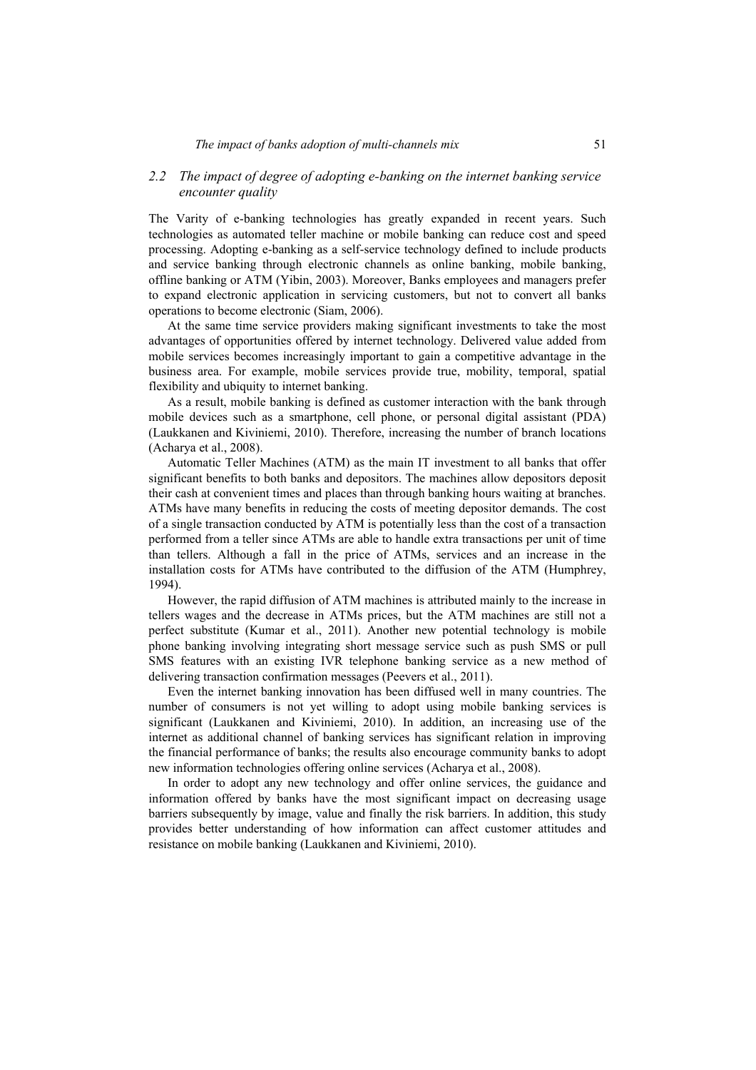# *2.2 The impact of degree of adopting e-banking on the internet banking service encounter quality*

The Varity of e-banking technologies has greatly expanded in recent years. Such technologies as automated teller machine or mobile banking can reduce cost and speed processing. Adopting e-banking as a self-service technology defined to include products and service banking through electronic channels as online banking, mobile banking, offline banking or ATM (Yibin, 2003). Moreover, Banks employees and managers prefer to expand electronic application in servicing customers, but not to convert all banks operations to become electronic (Siam, 2006).

At the same time service providers making significant investments to take the most advantages of opportunities offered by internet technology. Delivered value added from mobile services becomes increasingly important to gain a competitive advantage in the business area. For example, mobile services provide true, mobility, temporal, spatial flexibility and ubiquity to internet banking.

As a result, mobile banking is defined as customer interaction with the bank through mobile devices such as a smartphone, cell phone, or personal digital assistant (PDA) (Laukkanen and Kiviniemi, 2010). Therefore, increasing the number of branch locations (Acharya et al., 2008).

Automatic Teller Machines (ATM) as the main IT investment to all banks that offer significant benefits to both banks and depositors. The machines allow depositors deposit their cash at convenient times and places than through banking hours waiting at branches. ATMs have many benefits in reducing the costs of meeting depositor demands. The cost of a single transaction conducted by ATM is potentially less than the cost of a transaction performed from a teller since ATMs are able to handle extra transactions per unit of time than tellers. Although a fall in the price of ATMs, services and an increase in the installation costs for ATMs have contributed to the diffusion of the ATM (Humphrey, 1994).

However, the rapid diffusion of ATM machines is attributed mainly to the increase in tellers wages and the decrease in ATMs prices, but the ATM machines are still not a perfect substitute (Kumar et al., 2011). Another new potential technology is mobile phone banking involving integrating short message service such as push SMS or pull SMS features with an existing IVR telephone banking service as a new method of delivering transaction confirmation messages (Peevers et al., 2011).

Even the internet banking innovation has been diffused well in many countries. The number of consumers is not yet willing to adopt using mobile banking services is significant (Laukkanen and Kiviniemi, 2010). In addition, an increasing use of the internet as additional channel of banking services has significant relation in improving the financial performance of banks; the results also encourage community banks to adopt new information technologies offering online services (Acharya et al., 2008).

In order to adopt any new technology and offer online services, the guidance and information offered by banks have the most significant impact on decreasing usage barriers subsequently by image, value and finally the risk barriers. In addition, this study provides better understanding of how information can affect customer attitudes and resistance on mobile banking (Laukkanen and Kiviniemi, 2010).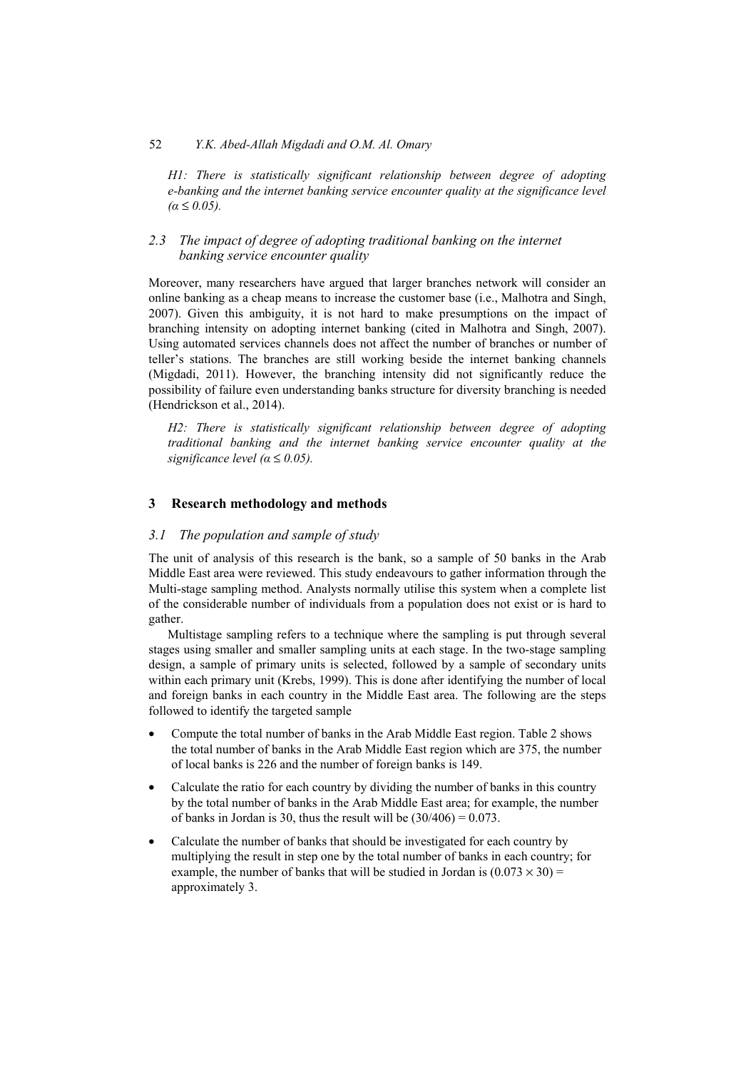*H1: There is statistically significant relationship between degree of adopting e-banking and the internet banking service encounter quality at the significance level*   $(α ≤ 0.05)$ .

# *2.3 The impact of degree of adopting traditional banking on the internet banking service encounter quality*

Moreover, many researchers have argued that larger branches network will consider an online banking as a cheap means to increase the customer base (i.e., Malhotra and Singh, 2007). Given this ambiguity, it is not hard to make presumptions on the impact of branching intensity on adopting internet banking (cited in Malhotra and Singh, 2007). Using automated services channels does not affect the number of branches or number of teller's stations. The branches are still working beside the internet banking channels (Migdadi, 2011). However, the branching intensity did not significantly reduce the possibility of failure even understanding banks structure for diversity branching is needed (Hendrickson et al., 2014).

*H2: There is statistically significant relationship between degree of adopting traditional banking and the internet banking service encounter quality at the significance level (* $\alpha \leq 0.05$ *).* 

# **3 Research methodology and methods**

## *3.1 The population and sample of study*

The unit of analysis of this research is the bank, so a sample of 50 banks in the Arab Middle East area were reviewed. This study endeavours to gather information through the Multi-stage sampling method. Analysts normally utilise this system when a complete list of the considerable number of individuals from a population does not exist or is hard to gather.

Multistage sampling refers to a technique where the sampling is put through several stages using smaller and smaller sampling units at each stage. In the two-stage sampling design, a sample of primary units is selected, followed by a sample of secondary units within each primary unit (Krebs, 1999). This is done after identifying the number of local and foreign banks in each country in the Middle East area. The following are the steps followed to identify the targeted sample

- Compute the total number of banks in the Arab Middle East region. Table 2 shows the total number of banks in the Arab Middle East region which are 375, the number of local banks is 226 and the number of foreign banks is 149.
- Calculate the ratio for each country by dividing the number of banks in this country by the total number of banks in the Arab Middle East area; for example, the number of banks in Jordan is 30, thus the result will be  $(30/406) = 0.073$ .
- Calculate the number of banks that should be investigated for each country by multiplying the result in step one by the total number of banks in each country; for example, the number of banks that will be studied in Jordan is  $(0.073 \times 30)$  = approximately 3.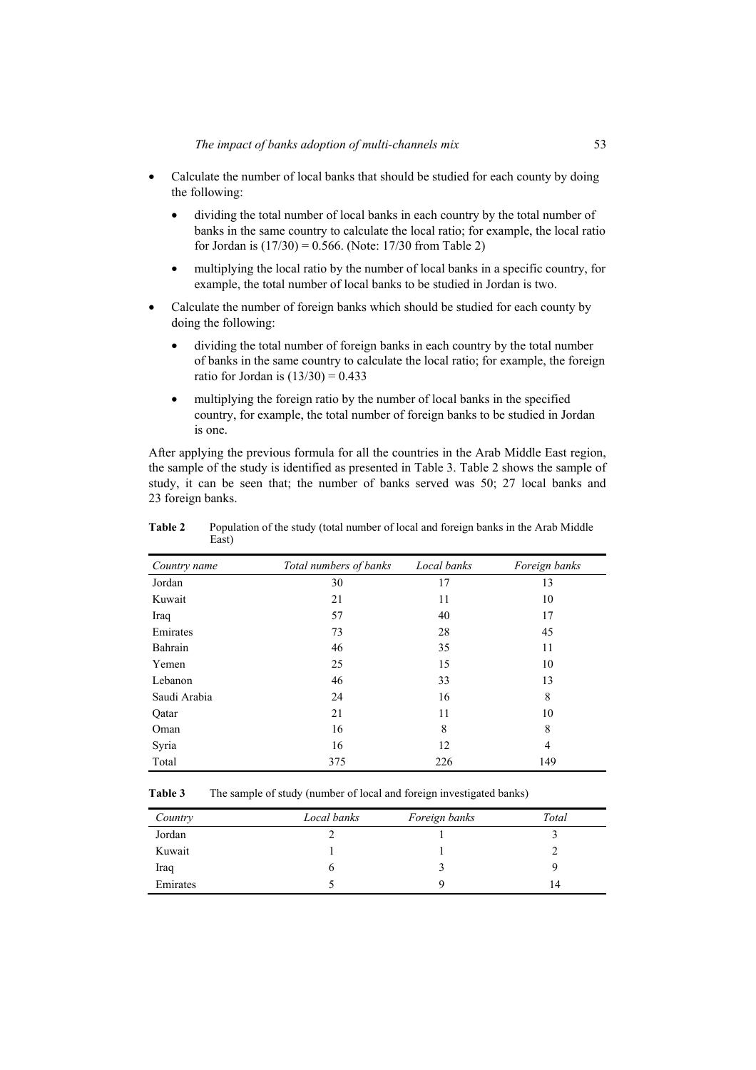- Calculate the number of local banks that should be studied for each county by doing the following:
	- dividing the total number of local banks in each country by the total number of banks in the same country to calculate the local ratio; for example, the local ratio for Jordan is  $(17/30) = 0.566$ . (Note: 17/30 from Table 2)
	- multiplying the local ratio by the number of local banks in a specific country, for example, the total number of local banks to be studied in Jordan is two.
- Calculate the number of foreign banks which should be studied for each county by doing the following:
	- dividing the total number of foreign banks in each country by the total number of banks in the same country to calculate the local ratio; for example, the foreign ratio for Jordan is  $(13/30) = 0.433$
	- multiplying the foreign ratio by the number of local banks in the specified country, for example, the total number of foreign banks to be studied in Jordan is one.

After applying the previous formula for all the countries in the Arab Middle East region, the sample of the study is identified as presented in Table 3. Table 2 shows the sample of study, it can be seen that; the number of banks served was 50; 27 local banks and 23 foreign banks.

| Country name | Total numbers of banks | Local banks | Foreign banks  |
|--------------|------------------------|-------------|----------------|
| Jordan       | 30                     | 17          | 13             |
| Kuwait       | 21                     | 11          | 10             |
| Iraq         | 57                     | 40          | 17             |
| Emirates     | 73                     | 28          | 45             |
| Bahrain      | 46                     | 35          | 11             |
| Yemen        | 25                     | 15          | 10             |
| Lebanon      | 46                     | 33          | 13             |
| Saudi Arabia | 24                     | 16          | 8              |
| Qatar        | 21                     | 11          | 10             |
| Oman         | 16                     | 8           | 8              |
| Syria        | 16                     | 12          | $\overline{4}$ |
| Total        | 375                    | 226         | 149            |

**Table 2** Population of the study (total number of local and foreign banks in the Arab Middle East)

| <b>Table 3</b> |  |  | The sample of study (number of local and foreign investigated banks) |  |
|----------------|--|--|----------------------------------------------------------------------|--|
|                |  |  |                                                                      |  |

| Country  | Local banks | Foreign banks | Total |
|----------|-------------|---------------|-------|
| Jordan   |             |               |       |
| Kuwait   |             |               |       |
| Iraq     |             |               |       |
| Emirates |             |               | 14    |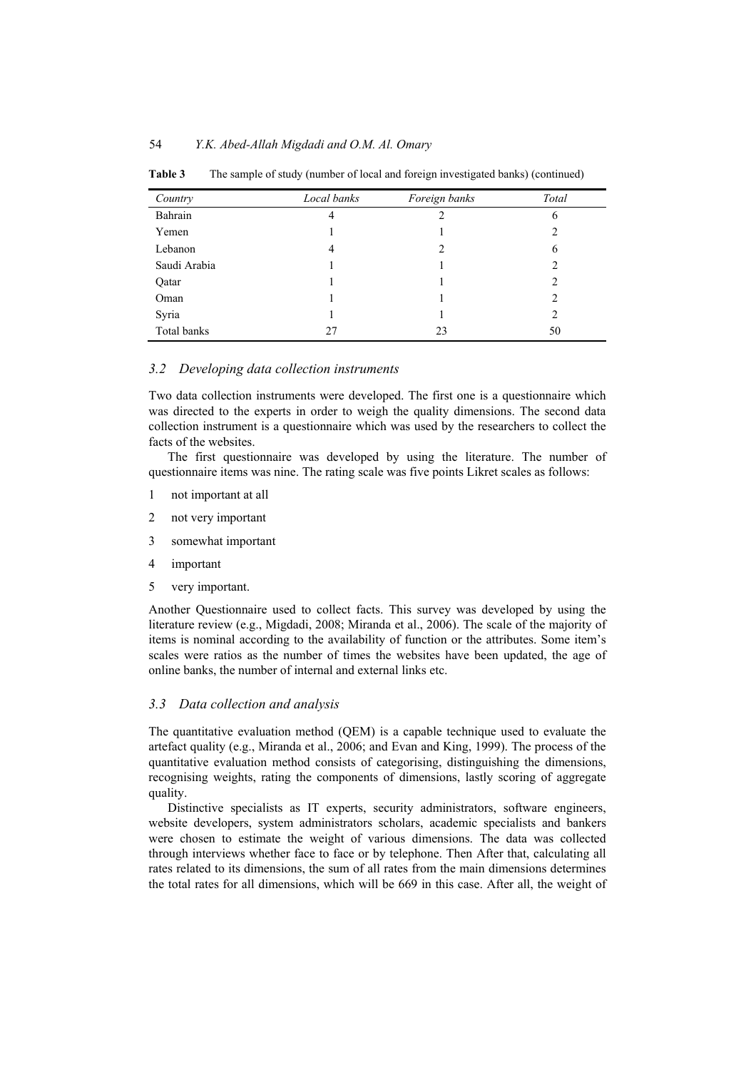| Country      | Local banks | Foreign banks | Total          |
|--------------|-------------|---------------|----------------|
| Bahrain      | 4           | 2             | 6              |
| Yemen        |             |               | 2              |
| Lebanon      | 4           | 2             | 6              |
| Saudi Arabia |             |               | $\overline{c}$ |
| Qatar        |             |               | $\overline{c}$ |
| Oman         |             |               | 2              |
| Syria        |             |               | 2              |
| Total banks  | 27          | 23            | 50             |

**Table 3** The sample of study (number of local and foreign investigated banks) (continued)

#### *3.2 Developing data collection instruments*

Two data collection instruments were developed. The first one is a questionnaire which was directed to the experts in order to weigh the quality dimensions. The second data collection instrument is a questionnaire which was used by the researchers to collect the facts of the websites.

The first questionnaire was developed by using the literature. The number of questionnaire items was nine. The rating scale was five points Likret scales as follows:

- 1 not important at all
- 2 not very important
- 3 somewhat important
- 4 important
- 5 very important.

Another Questionnaire used to collect facts. This survey was developed by using the literature review (e.g., Migdadi, 2008; Miranda et al., 2006). The scale of the majority of items is nominal according to the availability of function or the attributes. Some item's scales were ratios as the number of times the websites have been updated, the age of online banks, the number of internal and external links etc.

# *3.3 Data collection and analysis*

The quantitative evaluation method (QEM) is a capable technique used to evaluate the artefact quality (e.g., Miranda et al., 2006; and Evan and King, 1999). The process of the quantitative evaluation method consists of categorising, distinguishing the dimensions, recognising weights, rating the components of dimensions, lastly scoring of aggregate quality.

Distinctive specialists as IT experts, security administrators, software engineers, website developers, system administrators scholars, academic specialists and bankers were chosen to estimate the weight of various dimensions. The data was collected through interviews whether face to face or by telephone. Then After that, calculating all rates related to its dimensions, the sum of all rates from the main dimensions determines the total rates for all dimensions, which will be 669 in this case. After all, the weight of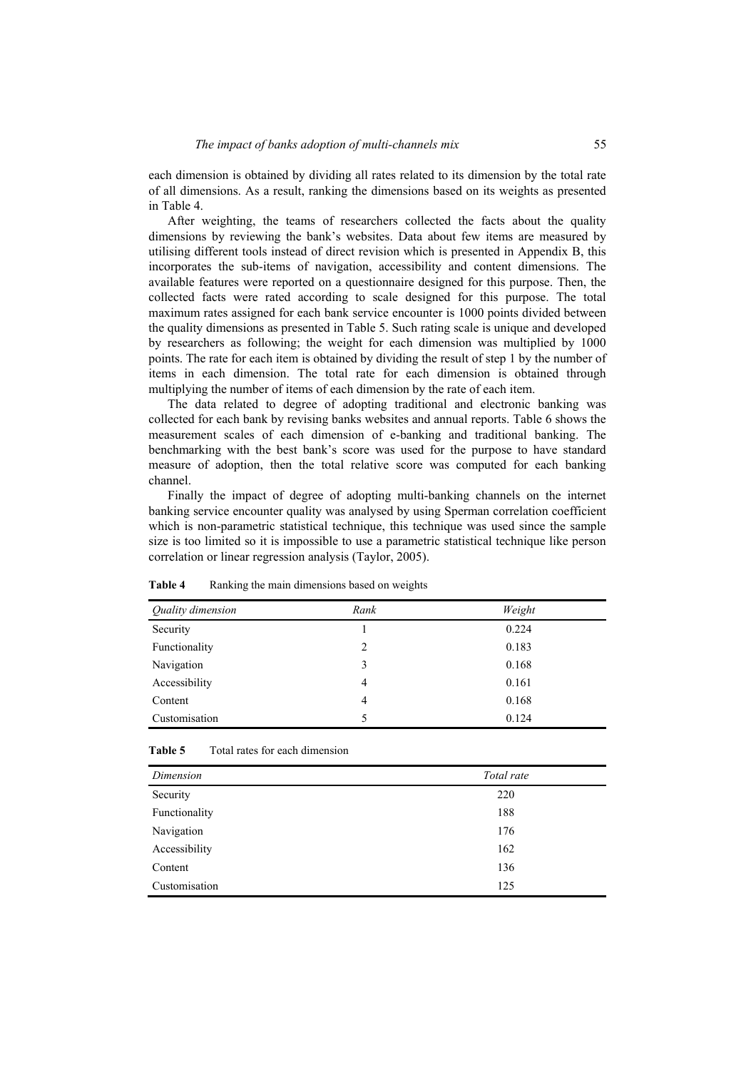each dimension is obtained by dividing all rates related to its dimension by the total rate of all dimensions. As a result, ranking the dimensions based on its weights as presented in Table 4.

After weighting, the teams of researchers collected the facts about the quality dimensions by reviewing the bank's websites. Data about few items are measured by utilising different tools instead of direct revision which is presented in Appendix B, this incorporates the sub-items of navigation, accessibility and content dimensions. The available features were reported on a questionnaire designed for this purpose. Then, the collected facts were rated according to scale designed for this purpose. The total maximum rates assigned for each bank service encounter is 1000 points divided between the quality dimensions as presented in Table 5. Such rating scale is unique and developed by researchers as following; the weight for each dimension was multiplied by 1000 points. The rate for each item is obtained by dividing the result of step 1 by the number of items in each dimension. The total rate for each dimension is obtained through multiplying the number of items of each dimension by the rate of each item.

The data related to degree of adopting traditional and electronic banking was collected for each bank by revising banks websites and annual reports. Table 6 shows the measurement scales of each dimension of e-banking and traditional banking. The benchmarking with the best bank's score was used for the purpose to have standard measure of adoption, then the total relative score was computed for each banking channel.

Finally the impact of degree of adopting multi-banking channels on the internet banking service encounter quality was analysed by using Sperman correlation coefficient which is non-parametric statistical technique, this technique was used since the sample size is too limited so it is impossible to use a parametric statistical technique like person correlation or linear regression analysis (Taylor, 2005).

| Quality dimension | Rank | Weight |
|-------------------|------|--------|
| Security          |      | 0.224  |
| Functionality     | 2    | 0.183  |
| Navigation        | 3    | 0.168  |
| Accessibility     | 4    | 0.161  |
| Content           | 4    | 0.168  |
| Customisation     | 5    | 0.124  |

**Table 4** Ranking the main dimensions based on weights

| Table 5 |  |  | Total rates for each dimension |  |
|---------|--|--|--------------------------------|--|
|         |  |  |                                |  |

| Dimension     | Total rate |
|---------------|------------|
| Security      | 220        |
| Functionality | 188        |
| Navigation    | 176        |
| Accessibility | 162        |
| Content       | 136        |
| Customisation | 125        |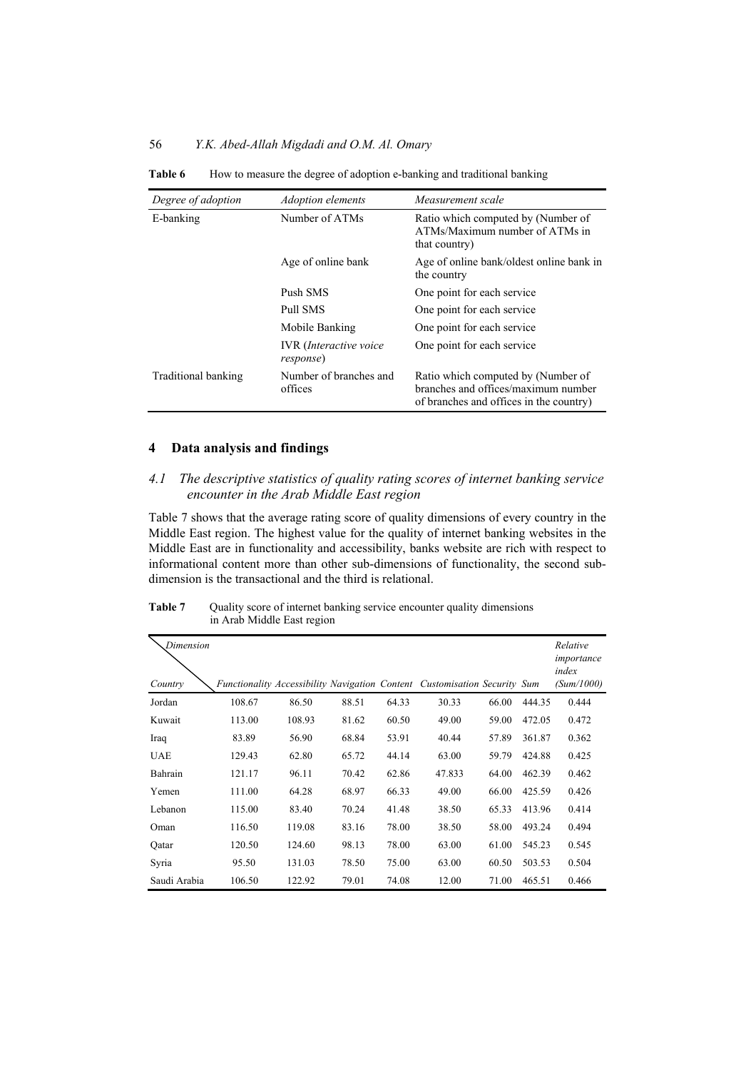**Table 6** How to measure the degree of adoption e-banking and traditional banking

| Degree of adoption          | <b>Adoption elements</b>                             | Measurement scale                                                                                                    |
|-----------------------------|------------------------------------------------------|----------------------------------------------------------------------------------------------------------------------|
| E-banking<br>Number of ATMs |                                                      | Ratio which computed by (Number of<br>ATMs/Maximum number of ATMs in<br>that country)                                |
|                             | Age of online bank                                   | Age of online bank/oldest online bank in<br>the country                                                              |
|                             | Push SMS                                             | One point for each service                                                                                           |
|                             | Pull SMS                                             | One point for each service                                                                                           |
|                             | Mobile Banking                                       | One point for each service                                                                                           |
|                             | <b>IVR</b> ( <i>Interactive voice</i> )<br>response) | One point for each service                                                                                           |
| Traditional banking         | Number of branches and<br>offices                    | Ratio which computed by (Number of<br>branches and offices/maximum number<br>of branches and offices in the country) |

# **4 Data analysis and findings**

# *4.1 The descriptive statistics of quality rating scores of internet banking service encounter in the Arab Middle East region*

Table 7 shows that the average rating score of quality dimensions of every country in the Middle East region. The highest value for the quality of internet banking websites in the Middle East are in functionality and accessibility, banks website are rich with respect to informational content more than other sub-dimensions of functionality, the second subdimension is the transactional and the third is relational.

**Table 7** Quality score of internet banking service encounter quality dimensions in Arab Middle East region

| Dimension    |        |        |       |       |                                                                           |       |        | Relative<br>importance<br>index |
|--------------|--------|--------|-------|-------|---------------------------------------------------------------------------|-------|--------|---------------------------------|
| Country      |        |        |       |       | Functionality Accessibility Navigation Content Customisation Security Sum |       |        | (Sum/1000)                      |
| Jordan       | 108.67 | 86.50  | 88.51 | 64.33 | 30.33                                                                     | 66.00 | 444.35 | 0.444                           |
| Kuwait       | 113.00 | 108.93 | 81.62 | 60.50 | 49.00                                                                     | 59.00 | 472.05 | 0.472                           |
| Iraq         | 83.89  | 56.90  | 68.84 | 53.91 | 40.44                                                                     | 57.89 | 361.87 | 0.362                           |
| <b>UAE</b>   | 129.43 | 62.80  | 65.72 | 44.14 | 63.00                                                                     | 59.79 | 424.88 | 0.425                           |
| Bahrain      | 121.17 | 96.11  | 70.42 | 62.86 | 47.833                                                                    | 64.00 | 462.39 | 0.462                           |
| Yemen        | 111.00 | 64.28  | 68.97 | 66.33 | 49.00                                                                     | 66.00 | 425.59 | 0.426                           |
| Lebanon      | 115.00 | 83.40  | 70.24 | 41.48 | 38.50                                                                     | 65.33 | 413.96 | 0.414                           |
| Oman         | 116.50 | 119.08 | 83.16 | 78.00 | 38.50                                                                     | 58.00 | 493.24 | 0.494                           |
| Oatar        | 120.50 | 124.60 | 98.13 | 78.00 | 63.00                                                                     | 61.00 | 545.23 | 0.545                           |
| Syria        | 95.50  | 131.03 | 78.50 | 75.00 | 63.00                                                                     | 60.50 | 503.53 | 0.504                           |
| Saudi Arabia | 106.50 | 122.92 | 79.01 | 74.08 | 12.00                                                                     | 71.00 | 465.51 | 0.466                           |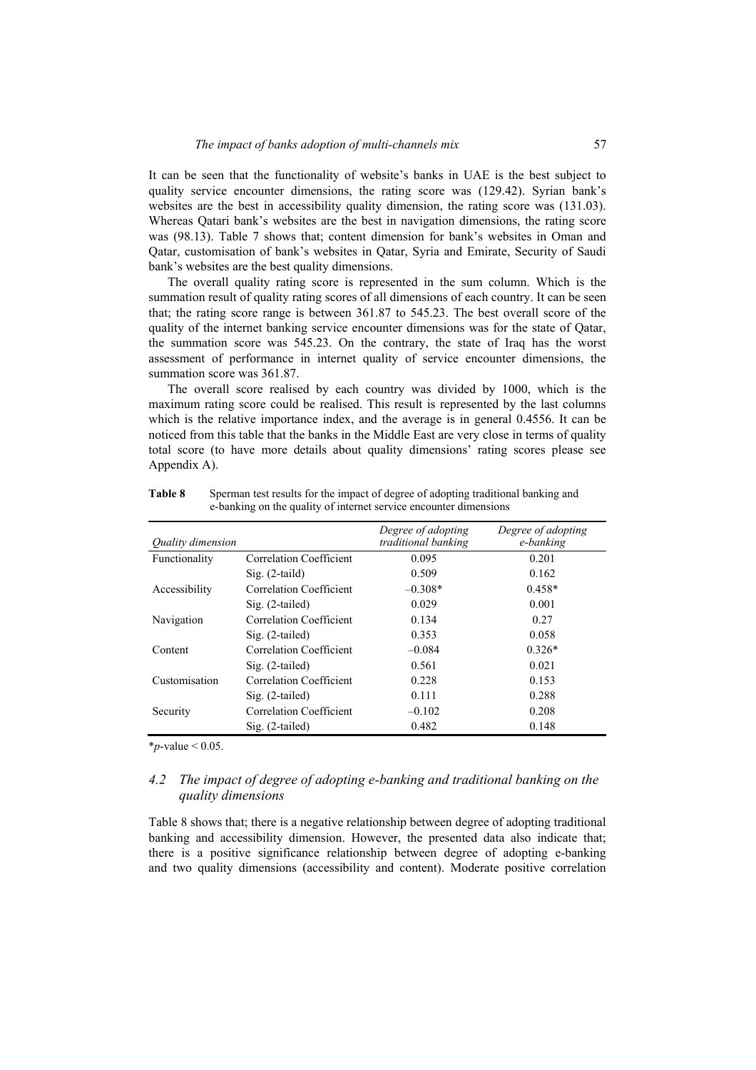It can be seen that the functionality of website's banks in UAE is the best subject to quality service encounter dimensions, the rating score was (129.42). Syrian bank's websites are the best in accessibility quality dimension, the rating score was (131.03). Whereas Qatari bank's websites are the best in navigation dimensions, the rating score was (98.13). Table 7 shows that; content dimension for bank's websites in Oman and Qatar, customisation of bank's websites in Qatar, Syria and Emirate, Security of Saudi bank's websites are the best quality dimensions.

The overall quality rating score is represented in the sum column. Which is the summation result of quality rating scores of all dimensions of each country. It can be seen that; the rating score range is between 361.87 to 545.23. The best overall score of the quality of the internet banking service encounter dimensions was for the state of Qatar, the summation score was 545.23. On the contrary, the state of Iraq has the worst assessment of performance in internet quality of service encounter dimensions, the summation score was 361.87.

The overall score realised by each country was divided by 1000, which is the maximum rating score could be realised. This result is represented by the last columns which is the relative importance index, and the average is in general 0.4556. It can be noticed from this table that the banks in the Middle East are very close in terms of quality total score (to have more details about quality dimensions' rating scores please see Appendix A).

| Quality dimension |                         | Degree of adopting<br>traditional banking | Degree of adopting<br>e-banking |
|-------------------|-------------------------|-------------------------------------------|---------------------------------|
| Functionality     | Correlation Coefficient | 0.095                                     | 0.201                           |
|                   | $Sig. (2-tailed)$       | 0.509                                     | 0.162                           |
| Accessibility     | Correlation Coefficient | $-0.308*$                                 | $0.458*$                        |
|                   | $Sig. (2-tailed)$       | 0.029                                     | 0.001                           |
| Navigation        | Correlation Coefficient | 0.134                                     | 0.27                            |
|                   | $Sig. (2-tailed)$       | 0.353                                     | 0.058                           |
| Content           | Correlation Coefficient | $-0.084$                                  | $0.326*$                        |
|                   | $Sig. (2-tailed)$       | 0.561                                     | 0.021                           |
| Customisation     | Correlation Coefficient | 0.228                                     | 0.153                           |
|                   | $Sig. (2-tailed)$       | 0.111                                     | 0.288                           |
| Security          | Correlation Coefficient | $-0.102$                                  | 0.208                           |
|                   | $Sig. (2-tailed)$       | 0.482                                     | 0.148                           |

Table 8 Sperman test results for the impact of degree of adopting traditional banking and e-banking on the quality of internet service encounter dimensions

 $*_{p\text{-value}} < 0.05$ .

# *4.2 The impact of degree of adopting e-banking and traditional banking on the quality dimensions*

Table 8 shows that; there is a negative relationship between degree of adopting traditional banking and accessibility dimension. However, the presented data also indicate that; there is a positive significance relationship between degree of adopting e-banking and two quality dimensions (accessibility and content). Moderate positive correlation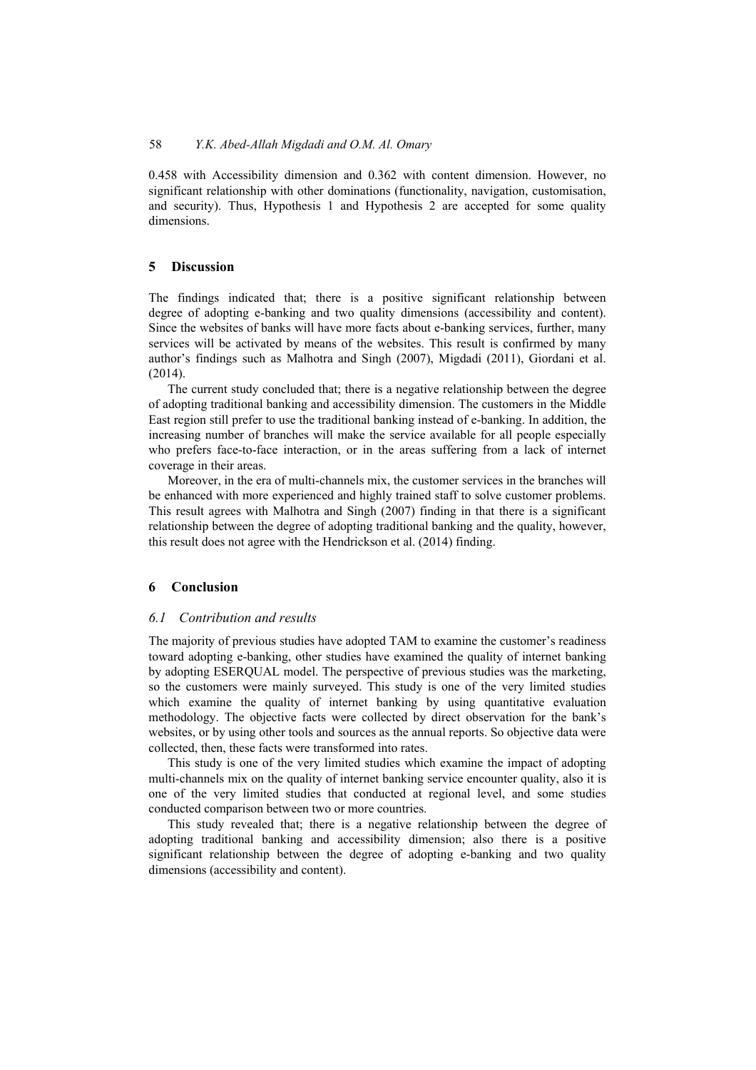0.458 with Accessibility dimension and 0.362 with content dimension. However, no significant relationship with other dominations (functionality, navigation, customisation, and security). Thus, Hypothesis 1 and Hypothesis 2 are accepted for some quality dimensions.

#### **5 Discussion**

The findings indicated that; there is a positive significant relationship between degree of adopting e-banking and two quality dimensions (accessibility and content). Since the websites of banks will have more facts about e-banking services, further, many services will be activated by means of the websites. This result is confirmed by many author's findings such as Malhotra and Singh (2007), Migdadi (2011), Giordani et al. (2014).

The current study concluded that; there is a negative relationship between the degree of adopting traditional banking and accessibility dimension. The customers in the Middle East region still prefer to use the traditional banking instead of e-banking. In addition, the increasing number of branches will make the service available for all people especially who prefers face-to-face interaction, or in the areas suffering from a lack of internet coverage in their areas.

Moreover, in the era of multi-channels mix, the customer services in the branches will be enhanced with more experienced and highly trained staff to solve customer problems. This result agrees with Malhotra and Singh (2007) finding in that there is a significant relationship between the degree of adopting traditional banking and the quality, however, this result does not agree with the Hendrickson et al. (2014) finding.

#### **6 Conclusion**

#### *6.1 Contribution and results*

The majority of previous studies have adopted TAM to examine the customer's readiness toward adopting e-banking, other studies have examined the quality of internet banking by adopting ESERQUAL model. The perspective of previous studies was the marketing, so the customers were mainly surveyed. This study is one of the very limited studies which examine the quality of internet banking by using quantitative evaluation methodology. The objective facts were collected by direct observation for the bank's websites, or by using other tools and sources as the annual reports. So objective data were collected, then, these facts were transformed into rates.

This study is one of the very limited studies which examine the impact of adopting multi-channels mix on the quality of internet banking service encounter quality, also it is one of the very limited studies that conducted at regional level, and some studies conducted comparison between two or more countries.

This study revealed that; there is a negative relationship between the degree of adopting traditional banking and accessibility dimension; also there is a positive significant relationship between the degree of adopting e-banking and two quality dimensions (accessibility and content).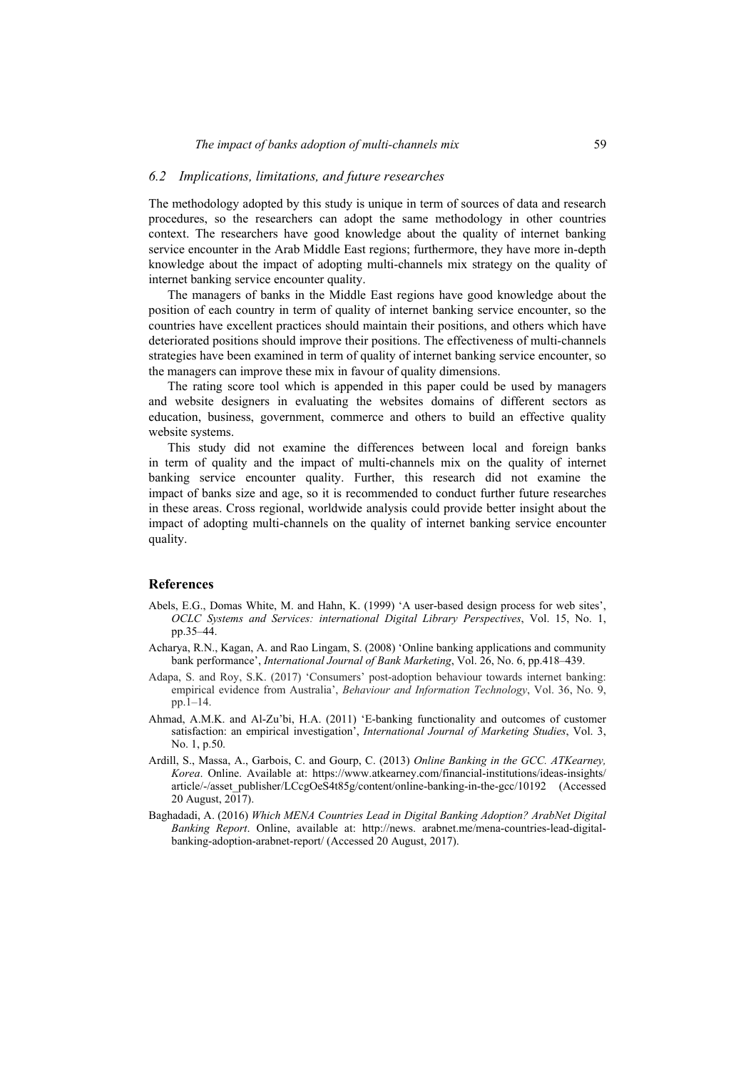## *6.2 Implications, limitations, and future researches*

The methodology adopted by this study is unique in term of sources of data and research procedures, so the researchers can adopt the same methodology in other countries context. The researchers have good knowledge about the quality of internet banking service encounter in the Arab Middle East regions; furthermore, they have more in-depth knowledge about the impact of adopting multi-channels mix strategy on the quality of internet banking service encounter quality.

The managers of banks in the Middle East regions have good knowledge about the position of each country in term of quality of internet banking service encounter, so the countries have excellent practices should maintain their positions, and others which have deteriorated positions should improve their positions. The effectiveness of multi-channels strategies have been examined in term of quality of internet banking service encounter, so the managers can improve these mix in favour of quality dimensions.

The rating score tool which is appended in this paper could be used by managers and website designers in evaluating the websites domains of different sectors as education, business, government, commerce and others to build an effective quality website systems.

This study did not examine the differences between local and foreign banks in term of quality and the impact of multi-channels mix on the quality of internet banking service encounter quality. Further, this research did not examine the impact of banks size and age, so it is recommended to conduct further future researches in these areas. Cross regional, worldwide analysis could provide better insight about the impact of adopting multi-channels on the quality of internet banking service encounter quality.

# **References**

- Abels, E.G., Domas White, M. and Hahn, K. (1999) 'A user-based design process for web sites', *OCLC Systems and Services: international Digital Library Perspectives*, Vol. 15, No. 1, pp.35–44.
- Acharya, R.N., Kagan, A. and Rao Lingam, S. (2008) 'Online banking applications and community bank performance', *International Journal of Bank Marketing*, Vol. 26, No. 6, pp.418–439.
- Adapa, S. and Roy, S.K. (2017) 'Consumers' post-adoption behaviour towards internet banking: empirical evidence from Australia', *Behaviour and Information Technology*, Vol. 36, No. 9, pp.1–14.
- Ahmad, A.M.K. and Al-Zu'bi, H.A. (2011) 'E-banking functionality and outcomes of customer satisfaction: an empirical investigation', *International Journal of Marketing Studies*, Vol. 3, No. 1, p.50.
- Ardill, S., Massa, A., Garbois, C. and Gourp, C. (2013) *Online Banking in the GCC. ATKearney, Korea*. Online. Available at: https://www.atkearney.com/financial-institutions/ideas-insights/ article/-/asset\_publisher/LCcgOeS4t85g/content/online-banking-in-the-gcc/10192 (Accessed 20 August,  $2017$ ).
- Baghadadi, A. (2016) *Which MENA Countries Lead in Digital Banking Adoption? ArabNet Digital Banking Report*. Online, available at: http://news. arabnet.me/mena-countries-lead-digitalbanking-adoption-arabnet-report/ (Accessed 20 August, 2017).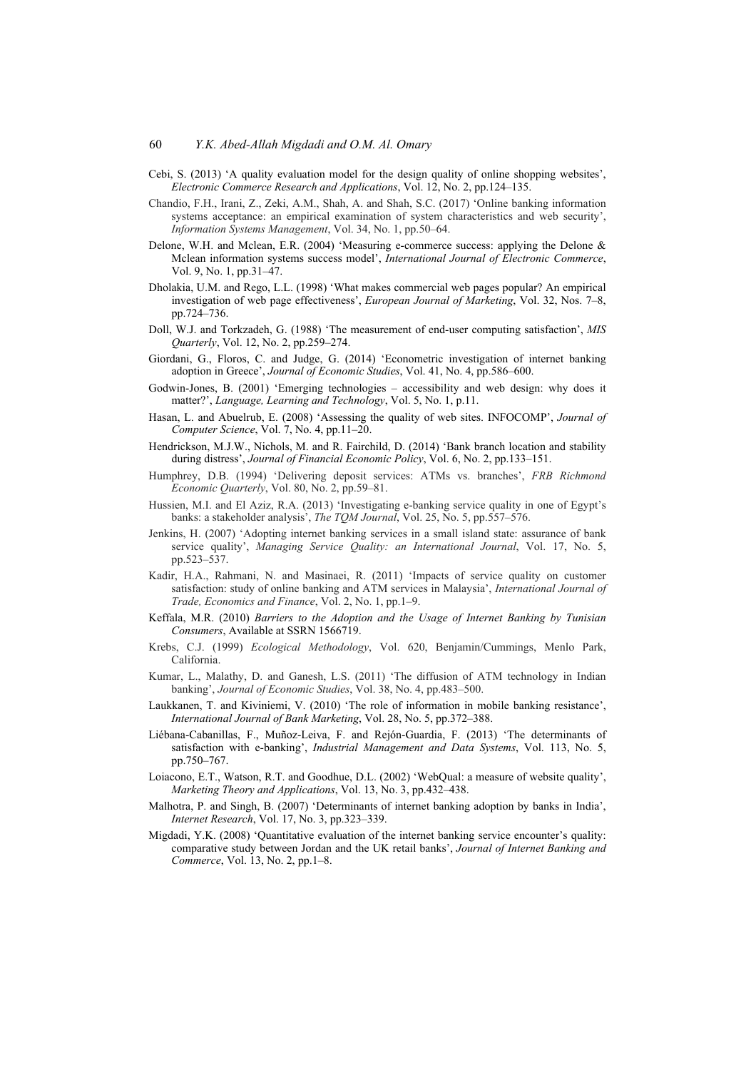- Cebi, S. (2013) 'A quality evaluation model for the design quality of online shopping websites', *Electronic Commerce Research and Applications*, Vol. 12, No. 2, pp.124–135.
- Chandio, F.H., Irani, Z., Zeki, A.M., Shah, A. and Shah, S.C. (2017) 'Online banking information systems acceptance: an empirical examination of system characteristics and web security', *Information Systems Management*, Vol. 34, No. 1, pp.50–64.
- Delone, W.H. and Mclean, E.R. (2004) 'Measuring e-commerce success: applying the Delone & Mclean information systems success model', *International Journal of Electronic Commerce*, Vol. 9, No. 1, pp.31–47.
- Dholakia, U.M. and Rego, L.L. (1998) 'What makes commercial web pages popular? An empirical investigation of web page effectiveness', *European Journal of Marketing*, Vol. 32, Nos. 7–8, pp.724–736.
- Doll, W.J. and Torkzadeh, G. (1988) 'The measurement of end-user computing satisfaction', *MIS Quarterly*, Vol. 12, No. 2, pp.259–274.
- Giordani, G., Floros, C. and Judge, G. (2014) 'Econometric investigation of internet banking adoption in Greece', *Journal of Economic Studies*, Vol. 41, No. 4, pp.586–600.
- Godwin-Jones, B. (2001) 'Emerging technologies accessibility and web design: why does it matter?', *Language, Learning and Technology*, Vol. 5, No. 1, p.11.
- Hasan, L. and Abuelrub, E. (2008) 'Assessing the quality of web sites. INFOCOMP', *Journal of Computer Science*, Vol. 7, No. 4, pp.11–20.
- Hendrickson, M.J.W., Nichols, M. and R. Fairchild, D. (2014) 'Bank branch location and stability during distress', *Journal of Financial Economic Policy*, Vol. 6, No. 2, pp.133–151.
- Humphrey, D.B. (1994) 'Delivering deposit services: ATMs vs. branches', *FRB Richmond Economic Quarterly*, Vol. 80, No. 2, pp.59–81.
- Hussien, M.I. and El Aziz, R.A. (2013) 'Investigating e-banking service quality in one of Egypt's banks: a stakeholder analysis', *The TQM Journal*, Vol. 25, No. 5, pp.557–576.
- Jenkins, H. (2007) 'Adopting internet banking services in a small island state: assurance of bank service quality', *Managing Service Quality: an International Journal*, Vol. 17, No. 5, pp.523–537.
- Kadir, H.A., Rahmani, N. and Masinaei, R. (2011) 'Impacts of service quality on customer satisfaction: study of online banking and ATM services in Malaysia', *International Journal of Trade, Economics and Finance*, Vol. 2, No. 1, pp.1–9.
- Keffala, M.R. (2010) *Barriers to the Adoption and the Usage of Internet Banking by Tunisian Consumers*, Available at SSRN 1566719.
- Krebs, C.J. (1999) *Ecological Methodology*, Vol. 620, Benjamin/Cummings, Menlo Park, California.
- Kumar, L., Malathy, D. and Ganesh, L.S. (2011) 'The diffusion of ATM technology in Indian banking', *Journal of Economic Studies*, Vol. 38, No. 4, pp.483–500.
- Laukkanen, T. and Kiviniemi, V. (2010) 'The role of information in mobile banking resistance', *International Journal of Bank Marketing*, Vol. 28, No. 5, pp.372–388.
- Liébana-Cabanillas, F., Muñoz-Leiva, F. and Rejón-Guardia, F. (2013) 'The determinants of satisfaction with e-banking', *Industrial Management and Data Systems*, Vol. 113, No. 5, pp.750–767.
- Loiacono, E.T., Watson, R.T. and Goodhue, D.L. (2002) 'WebQual: a measure of website quality', *Marketing Theory and Applications*, Vol. 13, No. 3, pp.432–438.
- Malhotra, P. and Singh, B. (2007) 'Determinants of internet banking adoption by banks in India', *Internet Research*, Vol. 17, No. 3, pp.323–339.
- Migdadi, Y.K. (2008) 'Quantitative evaluation of the internet banking service encounter's quality: comparative study between Jordan and the UK retail banks', *Journal of Internet Banking and Commerce*, Vol. 13, No. 2, pp.1–8.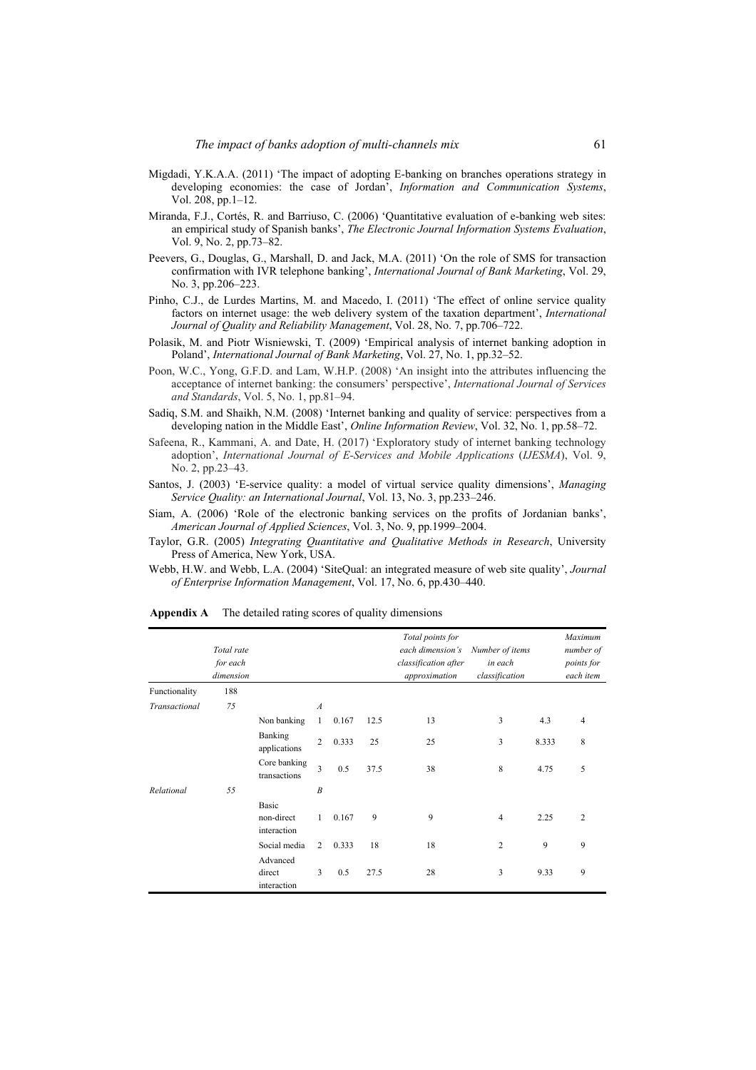- Migdadi, Y.K.A.A. (2011) 'The impact of adopting E-banking on branches operations strategy in developing economies: the case of Jordan', *Information and Communication Systems*, Vol. 208, pp.1–12.
- Miranda, F.J., Cortés, R. and Barriuso, C. (2006) 'Quantitative evaluation of e-banking web sites: an empirical study of Spanish banks', *The Electronic Journal Information Systems Evaluation*, Vol. 9, No. 2, pp.73–82.
- Peevers, G., Douglas, G., Marshall, D. and Jack, M.A. (2011) 'On the role of SMS for transaction confirmation with IVR telephone banking', *International Journal of Bank Marketing*, Vol. 29, No. 3, pp.206–223.
- Pinho, C.J., de Lurdes Martins, M. and Macedo, I. (2011) 'The effect of online service quality factors on internet usage: the web delivery system of the taxation department', *International Journal of Quality and Reliability Management*, Vol. 28, No. 7, pp.706–722.
- Polasik, M. and Piotr Wisniewski, T. (2009) 'Empirical analysis of internet banking adoption in Poland', *International Journal of Bank Marketing*, Vol. 27, No. 1, pp.32–52.
- Poon, W.C., Yong, G.F.D. and Lam, W.H.P. (2008) 'An insight into the attributes influencing the acceptance of internet banking: the consumers' perspective', *International Journal of Services and Standards*, Vol. 5, No. 1, pp.81–94.
- Sadiq, S.M. and Shaikh, N.M. (2008) 'Internet banking and quality of service: perspectives from a developing nation in the Middle East', *Online Information Review*, Vol. 32, No. 1, pp.58–72.
- Safeena, R., Kammani, A. and Date, H. (2017) 'Exploratory study of internet banking technology adoption', *International Journal of E-Services and Mobile Applications* (*IJESMA*), Vol. 9, No. 2, pp.23–43.
- Santos, J. (2003) 'E-service quality: a model of virtual service quality dimensions', *Managing Service Quality: an International Journal*, Vol. 13, No. 3, pp.233–246.
- Siam, A. (2006) 'Role of the electronic banking services on the profits of Jordanian banks', *American Journal of Applied Sciences*, Vol. 3, No. 9, pp.1999–2004.
- Taylor, G.R. (2005) *Integrating Quantitative and Qualitative Methods in Research*, University Press of America, New York, USA.
- Webb, H.W. and Webb, L.A. (2004) 'SiteQual: an integrated measure of web site quality', *Journal of Enterprise Information Management*, Vol. 17, No. 6, pp.430–440.

|               | Total rate<br>for each<br>dimension |                                    |                  |       |      | Total points for<br>each dimension's<br>classification after<br>approximation | Number of items<br>in each<br>classification |       | Maximum<br>number of<br>points for<br>each item |
|---------------|-------------------------------------|------------------------------------|------------------|-------|------|-------------------------------------------------------------------------------|----------------------------------------------|-------|-------------------------------------------------|
| Functionality | 188                                 |                                    |                  |       |      |                                                                               |                                              |       |                                                 |
| Transactional | 75                                  |                                    | $\boldsymbol{A}$ |       |      |                                                                               |                                              |       |                                                 |
|               |                                     | Non banking                        | 1                | 0.167 | 12.5 | 13                                                                            | 3                                            | 4.3   | 4                                               |
|               |                                     | Banking<br>applications            | $\overline{2}$   | 0.333 | 25   | 25                                                                            | 3                                            | 8.333 | 8                                               |
|               |                                     | Core banking<br>transactions       | 3                | 0.5   | 37.5 | 38                                                                            | 8                                            | 4.75  | 5                                               |
| Relational    | 55                                  |                                    | $\boldsymbol{B}$ |       |      |                                                                               |                                              |       |                                                 |
|               |                                     | Basic<br>non-direct<br>interaction | $\mathbf{1}$     | 0.167 | 9    | 9                                                                             | $\overline{4}$                               | 2.25  | $\overline{c}$                                  |
|               |                                     | Social media                       | 2                | 0.333 | 18   | 18                                                                            | $\overline{c}$                               | 9     | 9                                               |
|               |                                     | Advanced<br>direct<br>interaction  | 3                | 0.5   | 27.5 | 28                                                                            | 3                                            | 9.33  | 9                                               |

**Appendix A** The detailed rating scores of quality dimensions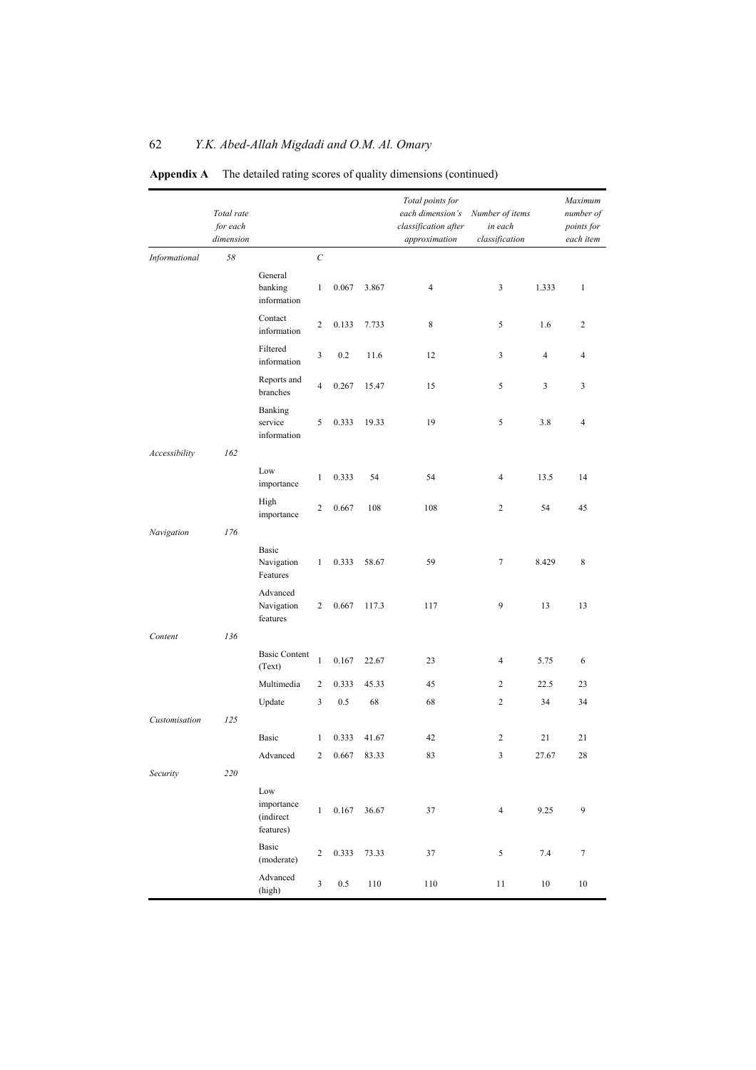|               | Total rate<br>for each<br>dimension |                                             |                             |         |       | Total points for<br>each dimension's<br>classification after<br>approximation | Number of items<br>in each<br>classification |                | Maximum<br>number of<br>points for<br>each item |
|---------------|-------------------------------------|---------------------------------------------|-----------------------------|---------|-------|-------------------------------------------------------------------------------|----------------------------------------------|----------------|-------------------------------------------------|
| Informational | 58                                  |                                             | $\cal C$                    |         |       |                                                                               |                                              |                |                                                 |
|               |                                     | General<br>banking<br>information           | $\mathbf{1}$                | 0.067   | 3.867 | 4                                                                             | 3                                            | 1.333          | $\mathbf{1}$                                    |
|               |                                     | Contact<br>information                      | $\overline{c}$              | 0.133   | 7.733 | 8                                                                             | 5                                            | 1.6            | 2                                               |
|               |                                     | Filtered<br>information                     | 3                           | 0.2     | 11.6  | 12                                                                            | 3                                            | $\overline{4}$ | 4                                               |
|               |                                     | Reports and<br>branches                     | $\overline{4}$              | 0.267   | 15.47 | 15                                                                            | 5                                            | 3              | 3                                               |
|               |                                     | Banking<br>service<br>information           | 5                           | 0.333   | 19.33 | 19                                                                            | 5                                            | 3.8            | $\overline{4}$                                  |
| Accessibility | 162                                 |                                             |                             |         |       |                                                                               |                                              |                |                                                 |
|               |                                     | Low<br>importance                           | $\mathbf{1}$                | 0.333   | 54    | 54                                                                            | $\overline{4}$                               | 13.5           | 14                                              |
|               |                                     | High<br>importance                          | $\overline{c}$              | 0.667   | 108   | 108                                                                           | $\overline{c}$                               | 54             | 45                                              |
| Navigation    | 176                                 |                                             |                             |         |       |                                                                               |                                              |                |                                                 |
|               |                                     | Basic<br>Navigation<br>Features             | $\mathbf{1}$                | 0.333   | 58.67 | 59                                                                            | $\boldsymbol{7}$                             | 8.429          | 8                                               |
|               |                                     | Advanced<br>Navigation<br>features          | 2                           | 0.667   | 117.3 | 117                                                                           | 9                                            | 13             | 13                                              |
| Content       | 136                                 |                                             |                             |         |       |                                                                               |                                              |                |                                                 |
|               |                                     | <b>Basic Content</b><br>(Text)              | $\mathbf{1}$                | 0.167   | 22.67 | 23                                                                            | $\overline{4}$                               | 5.75           | 6                                               |
|               |                                     | Multimedia                                  | $\overline{c}$              | 0.333   | 45.33 | 45                                                                            | $\overline{2}$                               | 22.5           | 23                                              |
|               |                                     | Update                                      | 3                           | 0.5     | 68    | 68                                                                            | $\overline{c}$                               | 34             | 34                                              |
| Customisation | 125                                 |                                             |                             |         |       |                                                                               |                                              |                |                                                 |
|               |                                     | <b>Basic</b>                                | $\mathbf{1}$                | 0.333   | 41.67 | 42                                                                            | $\overline{c}$                               | 21             | 21                                              |
|               |                                     | Advanced                                    | $\overline{c}$              | 0.667   | 83.33 | 83                                                                            | $\mathfrak{Z}$                               | 27.67          | 28                                              |
| Security      | $220\,$                             |                                             |                             |         |       |                                                                               |                                              |                |                                                 |
|               |                                     | Low<br>importance<br>(indirect<br>features) | $\mathbf{1}$                | 0.167   | 36.67 | 37                                                                            | $\overline{4}$                               | 9.25           | 9                                               |
|               |                                     | Basic<br>(moderate)                         | 2                           | 0.333   | 73.33 | 37                                                                            | $\sqrt{5}$                                   | $7.4\,$        | $\tau$                                          |
|               |                                     | Advanced<br>(high)                          | $\ensuremath{\mathfrak{Z}}$ | $0.5\,$ | 110   | 110                                                                           | $11\,$                                       | $10\,$         | $10\,$                                          |

# **Appendix A** The detailed rating scores of quality dimensions (continued)

62 *Y.K. Abed-Allah Migdadi and O.M. Al. Omary*